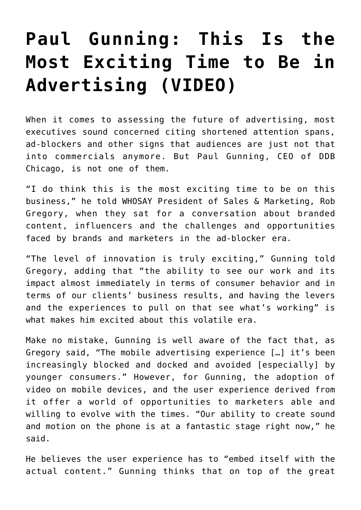## **[Paul Gunning: This Is the](https://www.commpro.biz/paul-gunning-this-is-the-most-exciting-time-to-be-in-advertising/) [Most Exciting Time to Be in](https://www.commpro.biz/paul-gunning-this-is-the-most-exciting-time-to-be-in-advertising/) [Advertising \(VIDEO\)](https://www.commpro.biz/paul-gunning-this-is-the-most-exciting-time-to-be-in-advertising/)**

When it comes to assessing the future of advertising, most executives sound concerned citing shortened attention spans, ad-blockers and other signs that audiences are just not that into commercials anymore. But Paul Gunning, CEO of DDB Chicago, is not one of them.

"I do think this is the most exciting time to be on this business," he told WHOSAY President of Sales & Marketing, Rob Gregory, when they sat for a conversation about [branded](https://www.commpro.biz/?s=branded+content) [content](https://www.commpro.biz/?s=branded+content), influencers and the challenges and opportunities faced by brands and marketers in the ad-blocker era.

"The level of innovation is truly exciting," Gunning told Gregory, adding that "the ability to see our work and its impact almost immediately in terms of consumer behavior and in terms of our clients' business results, and having the levers and the experiences to pull on that see what's working" is what makes him excited about this volatile era.

Make no mistake, Gunning is well aware of the fact that, as Gregory said, "The mobile advertising experience […] it's been increasingly blocked and docked and avoided [especially] by younger consumers." However, for Gunning, the adoption of video on mobile devices, and the user experience derived from it offer a world of opportunities to marketers able and willing to evolve with the times. "Our ability to create sound and motion on the phone is at a fantastic stage right now," he said.

He believes the user experience has to "embed itself with the actual content." Gunning thinks that on top of the great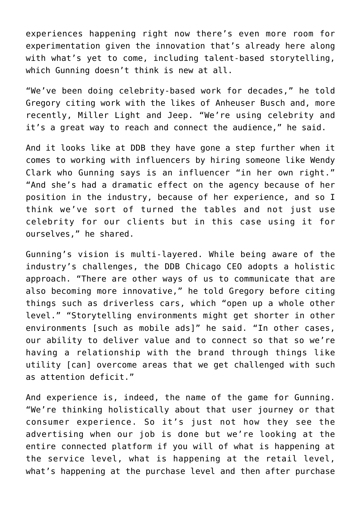experiences happening right now there's even more room for experimentation given the innovation that's already here along with what's yet to come, including talent-based storytelling, which Gunning doesn't think is new at all.

"We've been doing celebrity-based work for decades," he told Gregory citing work with the likes of Anheuser Busch and, more recently, Miller Light and Jeep. "We're using celebrity and it's a great way to reach and connect the audience," he said.

And it looks like at DDB they have gone a step further when it comes to working with influencers by hiring someone like Wendy Clark who Gunning says is an influencer "in her own right." "And she's had a dramatic effect on the agency because of her position in the industry, because of her experience, and so I think we've sort of turned the tables and not just use celebrity for our clients but in this case using it for ourselves," he shared.

Gunning's vision is multi-layered. While being aware of the industry's challenges, the DDB Chicago CEO adopts a holistic approach. "There are other ways of us to communicate that are also becoming more innovative," he told Gregory before citing things such as driverless cars, which "open up a whole other level." "Storytelling environments might get shorter in other environments [such as mobile ads]" he said. "In other cases, our ability to deliver value and to connect so that so we're having a relationship with the brand through things like utility [can] overcome areas that we get challenged with such as attention deficit."

And experience is, indeed, the name of the game for Gunning. "We're thinking holistically about that user journey or that consumer experience. So it's just not how they see the advertising when our job is done but we're looking at the entire connected platform if you will of what is happening at the service level, what is happening at the retail level, what's happening at the purchase level and then after purchase